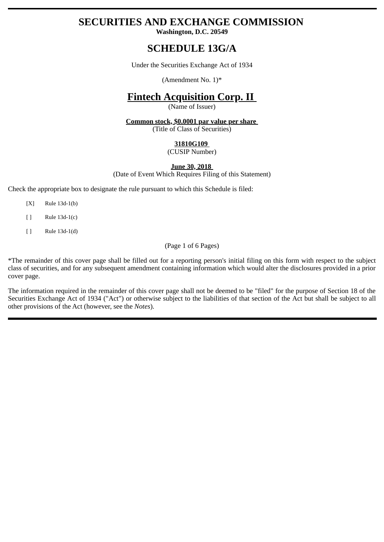# **SECURITIES AND EXCHANGE COMMISSION**

**Washington, D.C. 20549**

## **SCHEDULE 13G/A**

Under the Securities Exchange Act of 1934

(Amendment No. 1)\*

# **Fintech Acquisition Corp. II**

(Name of Issuer)

**Common stock, \$0.0001 par value per share**  (Title of Class of Securities)

## **31810G109**

(CUSIP Number)

## **June 30, 2018**

(Date of Event Which Requires Filing of this Statement)

Check the appropriate box to designate the rule pursuant to which this Schedule is filed:

- [X] Rule 13d-1(b)
- [ ] Rule 13d-1(c)
- [ ] Rule 13d-1(d)

(Page 1 of 6 Pages)

\*The remainder of this cover page shall be filled out for a reporting person's initial filing on this form with respect to the subject class of securities, and for any subsequent amendment containing information which would alter the disclosures provided in a prior cover page.

The information required in the remainder of this cover page shall not be deemed to be "filed" for the purpose of Section 18 of the Securities Exchange Act of 1934 ("Act") or otherwise subject to the liabilities of that section of the Act but shall be subject to all other provisions of the Act (however, see the *Notes*).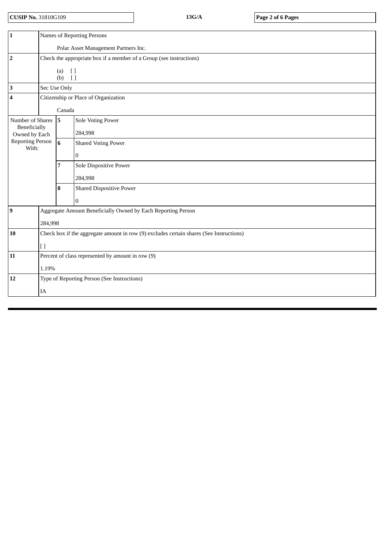**CUSIP No.** 31810G109 **13G/A Page 2 of 6 Pages**

| Names of Reporting Persons                                                              |                                                                                       |                                 |
|-----------------------------------------------------------------------------------------|---------------------------------------------------------------------------------------|---------------------------------|
| Polar Asset Management Partners Inc.                                                    |                                                                                       |                                 |
| Check the appropriate box if a member of a Group (see instructions)                     |                                                                                       |                                 |
| (a)<br>$\begin{array}{c} \square \end{array}$                                           |                                                                                       |                                 |
| $\Box$                                                                                  |                                                                                       |                                 |
|                                                                                         |                                                                                       |                                 |
| Citizenship or Place of Organization                                                    |                                                                                       |                                 |
| Canada                                                                                  |                                                                                       |                                 |
|                                                                                         | 5                                                                                     | <b>Sole Voting Power</b>        |
|                                                                                         |                                                                                       | 284,998                         |
|                                                                                         | $6\phantom{1}$                                                                        | <b>Shared Voting Power</b>      |
|                                                                                         |                                                                                       | $\boldsymbol{0}$                |
|                                                                                         | 7                                                                                     | Sole Dispositive Power          |
|                                                                                         |                                                                                       | 284,998                         |
|                                                                                         | 8                                                                                     | <b>Shared Dispositive Power</b> |
|                                                                                         |                                                                                       | $\Omega$                        |
| Aggregate Amount Beneficially Owned by Each Reporting Person<br>284,998                 |                                                                                       |                                 |
|                                                                                         |                                                                                       |                                 |
| Check box if the aggregate amount in row (9) excludes certain shares (See Instructions) |                                                                                       |                                 |
| $[ \ ]$                                                                                 |                                                                                       |                                 |
| Percent of class represented by amount in row (9)                                       |                                                                                       |                                 |
| 1.19%                                                                                   |                                                                                       |                                 |
| Type of Reporting Person (See Instructions)                                             |                                                                                       |                                 |
| IA                                                                                      |                                                                                       |                                 |
|                                                                                         | Number of Shares<br>Beneficially<br>Owned by Each<br><b>Reporting Person</b><br>With: | (b)<br>Sec Use Only             |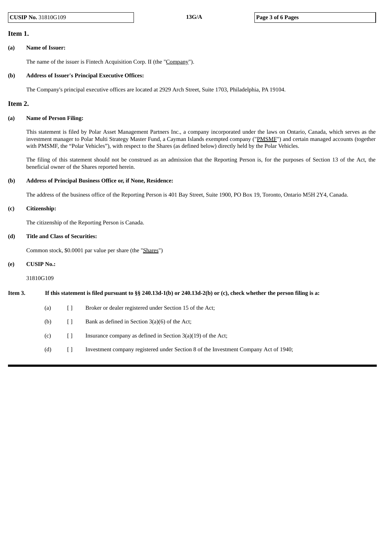#### **Item 1.**

#### **(a) Name of Issuer:**

The name of the issuer is Fintech Acquisition Corp. II (the "Company").

#### **(b) Address of Issuer's Principal Executive Offices:**

The Company's principal executive offices are located at 2929 Arch Street, Suite 1703, Philadelphia, PA 19104.

#### **Item 2.**

#### **(a) Name of Person Filing:**

This statement is filed by Polar Asset Management Partners Inc., a company incorporated under the laws on Ontario, Canada, which serves as the investment manager to Polar Multi Strategy Master Fund, a Cayman Islands exempted company ("PMSMF") and certain managed accounts (together with PMSMF, the "Polar Vehicles"), with respect to the Shares (as defined below) directly held by the Polar Vehicles.

The filing of this statement should not be construed as an admission that the Reporting Person is, for the purposes of Section 13 of the Act, the beneficial owner of the Shares reported herein.

#### **(b) Address of Principal Business Office or, if None, Residence:**

The address of the business office of the Reporting Person is 401 Bay Street, Suite 1900, PO Box 19, Toronto, Ontario M5H 2Y4, Canada.

#### **(c) Citizenship:**

The citizenship of the Reporting Person is Canada.

#### **(d) Title and Class of Securities:**

Common stock, \$0.0001 par value per share (the "Shares")

#### **(e) CUSIP No.:**

31810G109

Item 3. If this statement is filed pursuant to §§ 240.13d-1(b) or 240.13d-2(b) or (c), check whether the person filing is a:

- (a) [ ] Broker or dealer registered under Section 15 of the Act;
- (b)  $[$  ] Bank as defined in Section 3(a)(6) of the Act;
- (c)  $\begin{bmatrix} \end{bmatrix}$  Insurance company as defined in Section 3(a)(19) of the Act;
- (d) [ ] Investment company registered under Section 8 of the Investment Company Act of 1940;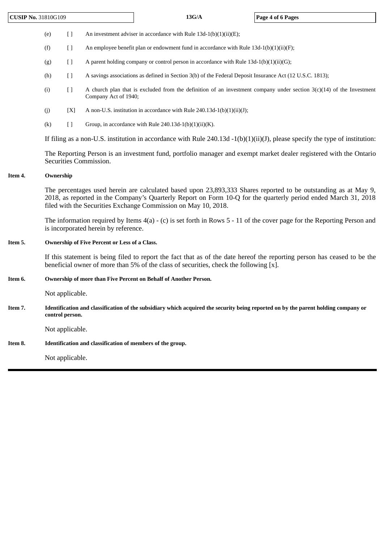**CUSIP No.** 31810G109 **13G/A Page 4 of 6 Pages**

(e)  $[$  ] An investment adviser in accordance with Rule 13d-1(b)(1)(ii)(E);

(f)  $\qquad$  [ ] An employee benefit plan or endowment fund in accordance with Rule 13d-1(b)(1)(ii)(F);

(g)  $\begin{bmatrix} \end{bmatrix}$  A parent holding company or control person in accordance with Rule 13d-1(b)(1)(ii)(G);

(h) [ ] A savings associations as defined in Section 3(b) of the Federal Deposit Insurance Act (12 U.S.C. 1813);

- (i)  $\begin{bmatrix} \end{bmatrix}$  A church plan that is excluded from the definition of an investment company under section 3(c)(14) of the Investment Company Act of 1940;
- (j)  $[X]$  A non-U.S. institution in accordance with Rule 240.13d-1(b)(1)(ii)(J);
- (k)  $[ ]$  Group, in accordance with Rule 240.13d-1(b)(1)(ii)(K).

If filing as a non-U.S. institution in accordance with Rule  $240.13d -1(b)(1)(ii)(J)$ , please specify the type of institution:

The Reporting Person is an investment fund, portfolio manager and exempt market dealer registered with the Ontario Securities Commission.

#### **Item 4. Ownership**

The percentages used herein are calculated based upon 23,893,333 Shares reported to be outstanding as at May 9, 2018, as reported in the Company's Quarterly Report on Form 10-Q for the quarterly period ended March 31, 2018 filed with the Securities Exchange Commission on May 10, 2018.

The information required by Items 4(a) - (c) is set forth in Rows 5 - 11 of the cover page for the Reporting Person and is incorporated herein by reference.

#### **Item 5. Ownership of Five Percent or Less of a Class.**

If this statement is being filed to report the fact that as of the date hereof the reporting person has ceased to be the beneficial owner of more than 5% of the class of securities, check the following [x].

#### **Item 6. Ownership of more than Five Percent on Behalf of Another Person.**

Not applicable.

Item 7. Identification and classification of the subsidiary which acquired the security being reported on by the parent holding company or **control person.**

Not applicable.

## **Item 8. Identification and classification of members of the group.**

Not applicable.